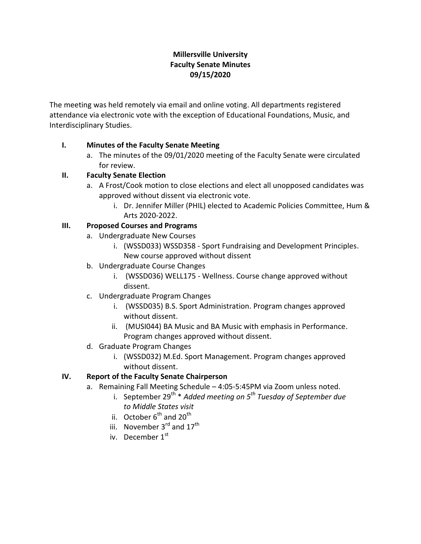# **Millersville University Faculty Senate Minutes 09/15/2020**

The meeting was held remotely via email and online voting. All departments registered attendance via electronic vote with the exception of Educational Foundations, Music, and Interdisciplinary Studies.

# **I. Minutes of the Faculty Senate Meeting**

a. The minutes of the 09/01/2020 meeting of the Faculty Senate were circulated for review.

### **II. Faculty Senate Election**

- a. A Frost/Cook motion to close elections and elect all unopposed candidates was approved without dissent via electronic vote.
	- i. Dr. Jennifer Miller (PHIL) elected to Academic Policies Committee, Hum & Arts 2020-2022.

### **III. Proposed Courses and Programs**

- a. Undergraduate New Courses
	- i. (WSSD033) WSSD358 Sport Fundraising and Development Principles. New course approved without dissent
- b. Undergraduate Course Changes
	- i. (WSSD036) WELL175 Wellness. Course change approved without dissent.
- c. Undergraduate Program Changes
	- i. (WSSD035) B.S. Sport Administration. Program changes approved without dissent.
	- ii. (MUSI044) BA Music and BA Music with emphasis in Performance. Program changes approved without dissent.
- d. Graduate Program Changes
	- i. (WSSD032) M.Ed. Sport Management. Program changes approved without dissent.

# **IV. Report of the Faculty Senate Chairperson**

- a. Remaining Fall Meeting Schedule 4:05-5:45PM via Zoom unless noted.
	- i. September 29th \* *Added meeting on 5 th Tuesday of September due to Middle States visit*
	- ii. October  $6^{th}$  and  $20^{th}$
	- iii. November 3<sup>rd</sup> and 17<sup>th</sup>
	- iv. December 1<sup>st</sup>